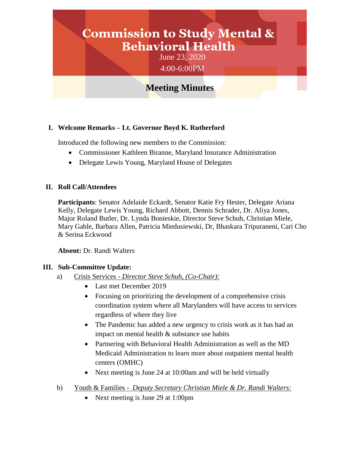# **Commission to Study Mental & Behavioral Health**

June 23, 2020 4:00-6:00PM

# **Meeting Minutes**

### **I. Welcome Remarks – Lt. Governor Boyd K. Rutherford**

Introduced the following new members to the Commission:

- Commissioner Kathleen Biranne, Maryland Insurance Administration
- Delegate Lewis Young, Maryland House of Delegates

#### **II. Roll Call/Attendees**

**Participants**: Senator Adelaide Eckardt, Senator Katie Fry Hester, Delegate Ariana Kelly, Delegate Lewis Young, Richard Abbott, Dennis Schrader, Dr. Aliya Jones, Major Roland Butler, Dr. Lynda Bonieskie, Director Steve Schuh, Christian Miele, Mary Gable, Barbara Allen, Patricia Miedusiewski, Dr, Bhaskara Tripuraneni, Cari Cho & Serina Eckwood

**Absent:** Dr. Randi Walters

#### **III. Sub-Committee Update:**

- a) Crisis Services *Director Steve Schuh, (Co-Chair):*
	- Last met December 2019
	- Focusing on prioritizing the development of a comprehensive crisis coordination system where all Marylanders will have access to services regardless of where they live
	- The Pandemic has added a new urgency to crisis work as it has had an impact on mental health & substance use habits
	- Partnering with Behavioral Health Administration as well as the MD Medicaid Administration to learn more about outpatient mental health centers (OMHC)
	- Next meeting is June 24 at 10:00am and will be held virtually
- b) Youth & Families *Deputy Secretary Christian Miele & Dr. Randi Walters:*
	- Next meeting is June 29 at 1:00pm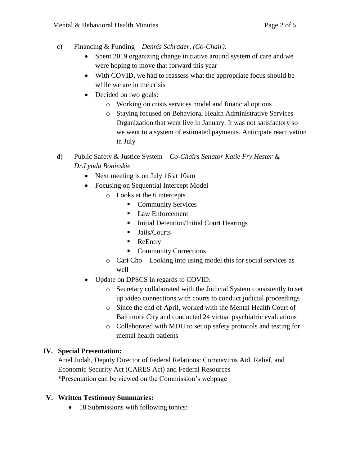- c) Financing & Funding *Dennis Schrader, (Co-Chair):*
	- Spent 2019 organizing change initiative around system of care and we were hoping to move that forward this year
	- With COVID, we had to reassess what the appropriate focus should be while we are in the crisis
	- Decided on two goals:
		- o Working on crisis services model and financial options
		- o Staying focused on Behavioral Health Administrative Services Organization that went live in January. It was not satisfactory so we went to a system of estimated payments. Anticipate reactivation in July
- d) Public Safety & Justice System *Co-Chairs Senator Katie Fry Hester & Dr.Lynda Bonieskie*
	- Next meeting is on July 16 at 10am
	- Focusing on Sequential Intercept Model
		- o Looks at the 6 intercepts
			- **Community Services**
			- Law Enforcement
			- **Initial Detention/Initial Court Hearings**
			- **Jails/Courts**
			- **ReEntry**
			- Community Corrections
		- o Cari Cho Looking into using model this for social services as well
	- Update on DPSCS in regards to COVID:
		- o Secretary collaborated with the Judicial System consistently to set up video connections with courts to conduct judicial proceedings
		- o Since the end of April, worked with the Mental Health Court of Baltimore City and conducted 24 virtual psychiatric evaluations
		- o Collaborated with MDH to set up safety protocols and testing for mental health patients

# **IV. Special Presentation:**

Ariel Judah, Deputy Director of Federal Relations: Coronavirus Aid, Relief, and Economic Security Act (CARES Act) and Federal Resources \*Presentation can be viewed on the Commission's webpage

# **V. Written Testimony Summaries:**

• 18 Submissions with following topics: